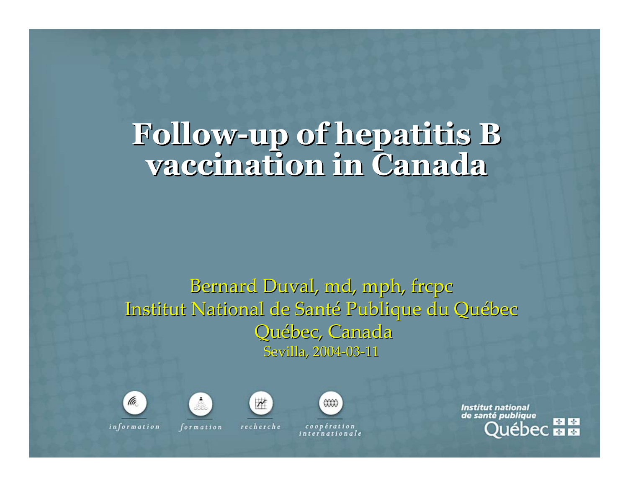# **Follow-up of hepatitis hepatitis B vaccination in Canada vaccination in Canada**

#### Bernard Duval, md, mph, frcpc Institut National de Santé Publique du Québec Québec, Canada Sevilla, 2004-03-11





formation

 $\overline{\mathbf{M}}$ recherche



coopération internationale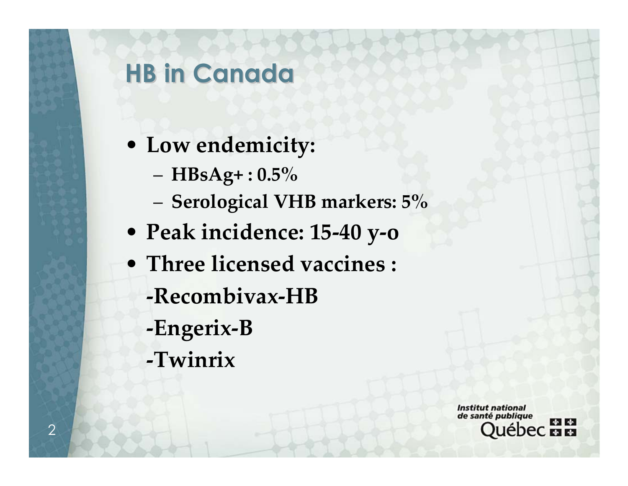## **HB in Canada HB in Canada**

- **Low endemicity:**
	- **HBsAg+ : 0.5%**
	- **Serological VHB markers: 5%**
- **Peak incidence: 15-40 y-o**
- **Three licensed vaccines : -Recombivax-HB** 
	- **-Engerix-B**
	- **-Twinrix**

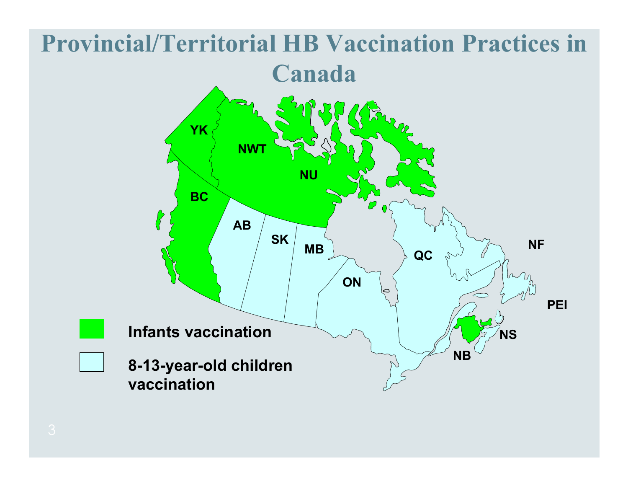#### **Provincial/Territorial HB Vaccination Practices in Canada Array YK NWT NU BC**  $\bigotimes$ **ABSK NF MB QC ON PEIInfants vaccination NSNB8-13-year-old children vaccination**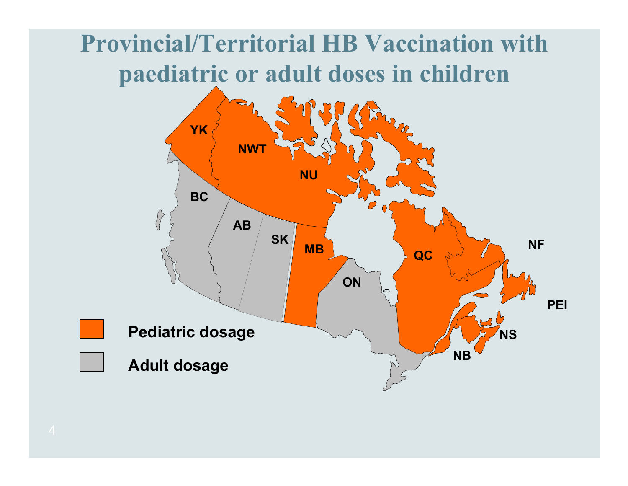## **Provincial/Territorial HB Vaccination with paediatric or adult doses in children**

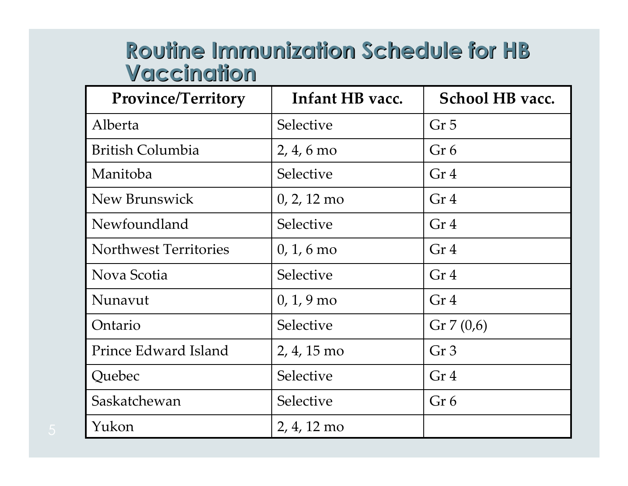#### **Routine Routine Immunization Schedule Immunization Schedule for HB Vaccination Vaccination**

| Province/Territory           | Infant HB vacc.       | School HB vacc. |  |
|------------------------------|-----------------------|-----------------|--|
| Alberta                      | Selective             | Gr <sub>5</sub> |  |
| <b>British Columbia</b>      | $2, 4, 6 \text{ mo}$  | Gr 6            |  |
| Manitoba                     | Selective             | Gr <sub>4</sub> |  |
| New Brunswick                | $0, 2, 12 \text{ mo}$ | Gr <sub>4</sub> |  |
| Newfoundland                 | <b>Selective</b>      | Gr <sub>4</sub> |  |
| <b>Northwest Territories</b> | $0, 1, 6$ mo          | Gr <sub>4</sub> |  |
| Nova Scotia                  | Selective             | Gr <sub>4</sub> |  |
| Nunavut                      | $0, 1, 9$ mo          | Gr <sub>4</sub> |  |
| Ontario                      | Selective             | Gr $7(0,6)$     |  |
| Prince Edward Island         | 2, 4, 15 mo           | Gr <sub>3</sub> |  |
| Quebec                       | Selective             | Gr <sub>4</sub> |  |
| Saskatchewan                 | Selective             | Gr 6            |  |
| Yukon                        | 2, 4, 12 mo           |                 |  |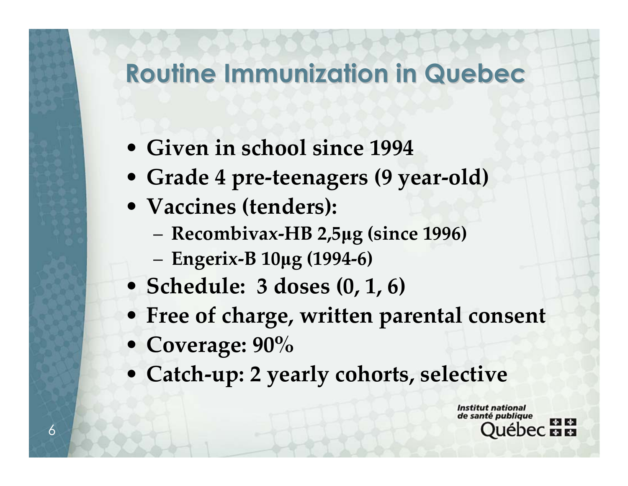## **Routine Routine Immunization Immunization in Quebec**

- **Given in school since 1994**
- **Grade 4 pre-teenagers (9 year-old)**
- **Vaccines (tenders):**
	- **Recombivax-HB 2,5µg (since 1996)**
	- **Engerix-B 10µg (1994-6)**
- **Schedule: 3 doses (0, 1, 6)**
- **Free of charge, written parental consent**
- **Coverage: 90%**
- **Catch-up: 2 yearly cohorts, selective**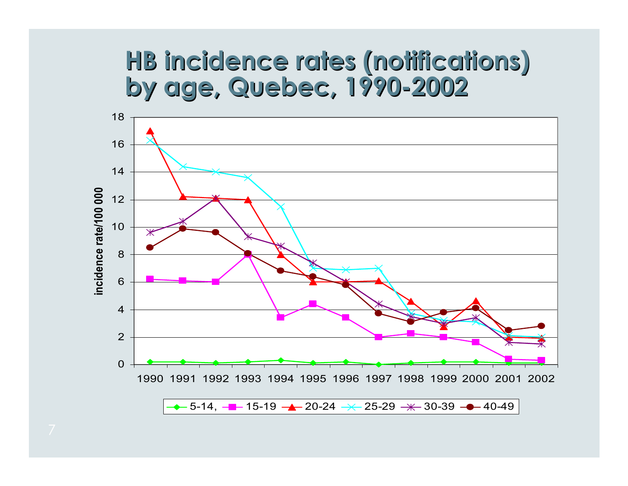#### **HB incidence rates HB incidence rates (notifications) (notifications) by age, by age, Quebec, 1990-2002**

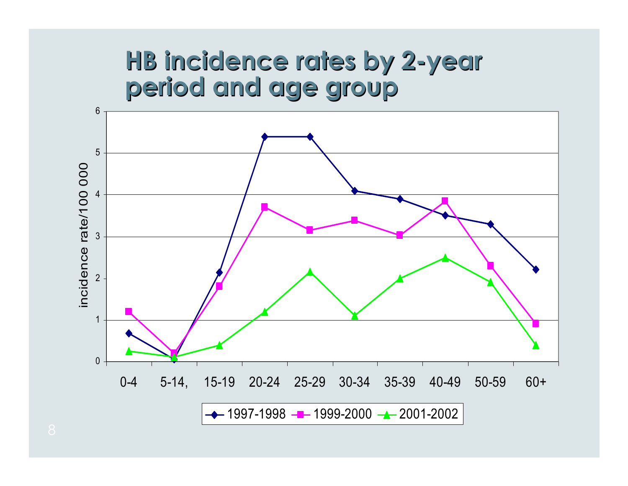#### **HB incidence rates by 2 HB incidence rates by 2-year period and period and age group age group**

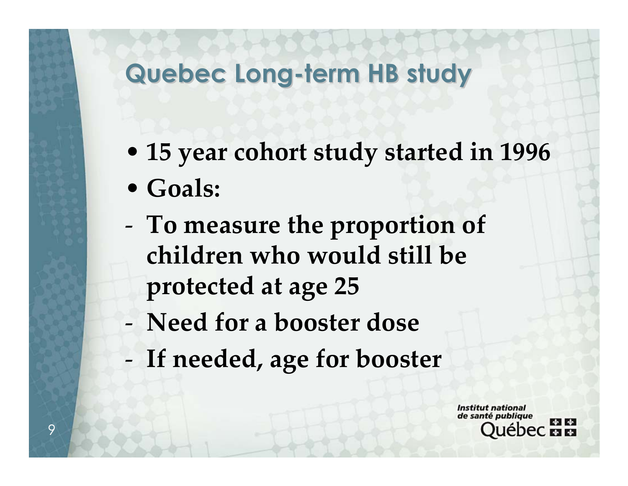# **Quebec Long-term HB study**

- **15 year cohort study started in 1996**
- **Goals:**
- - **To measure the proportion of children who would still be protected at age <sup>25</sup>**
- **Need for a booster dose**
- -**If needed, age for booster**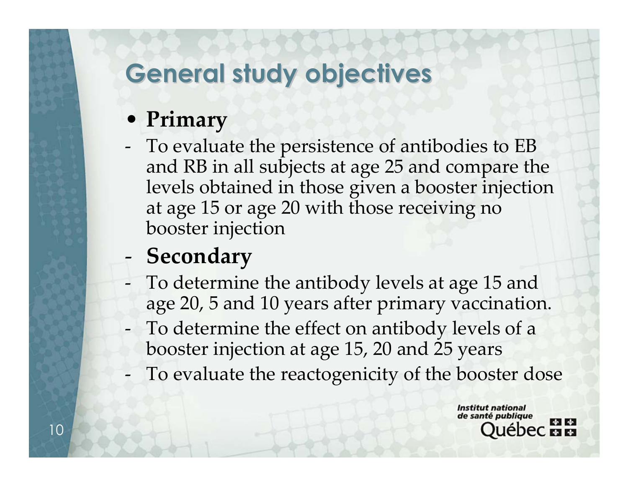## **General study General study objectives objectives**

#### • **Primary**

- To evaluate the persistence of antibodies to EB and RB in all subjects at age 25 and compare the levels obtained in those given a booster injection at age 15 or age 20 with those receiving no booster injection

#### -**Secondary**

- - To determine the antibody levels at age 15 and age 20, 5 and 10 years after primary vaccination.
- - To determine the effect on antibody levels of a booster injection at age 15, 20 and 25 years
- -To evaluate the reactogenicity of the booster dose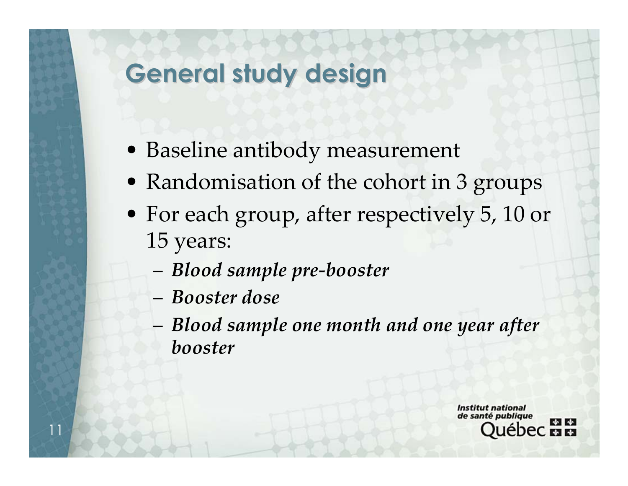## **General study General study design**

- Baseline antibody measurement
- Randomisation of the cohort in 3 groups
- For each group, after respectively 5, 10 or 15 years:
	- *Blood sample pre-booster*
	- *Booster dose*

11

 *Blood sample one month and one year after booster*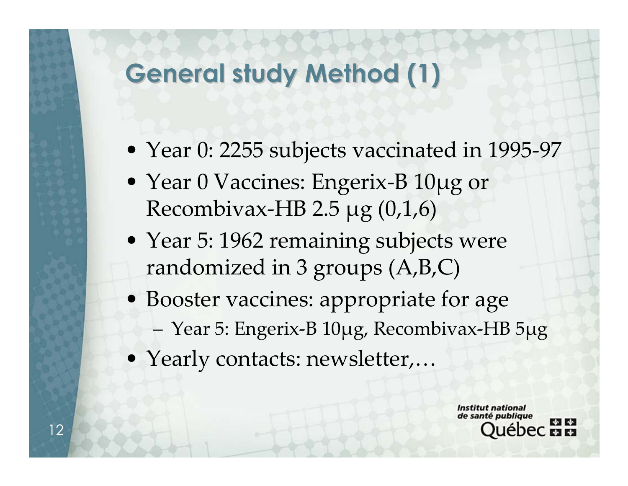## **General study Method General study Method (1)**

- Year 0: 2255 subjects vaccinated in 1995-97
- Year 0 Vaccines: Engerix-B 10µg or Recombivax-HB 2.5  $\mu$ g (0,1,6)
- Year 5: 1962 remaining subjects were randomized in 3 groups (A,B,C)
- Booster vaccines: appropriate for age
	- Year 5: Engerix-B 10µg, Recombivax-HB 5µg
- Yearly contacts: newsletter,…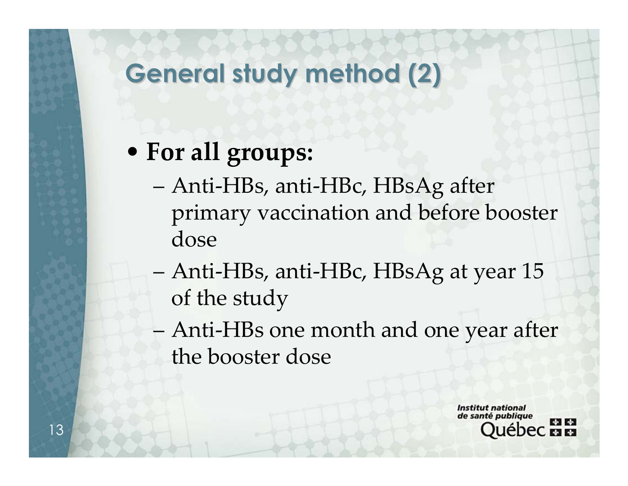# **General study method (2) General study method (2)**

## • **For all groups:**

- Anti-HBs, anti-HBc, HBsAg after primary vaccination and before booster dose
- Anti-HBs, anti-HBc, HBsAg at year 15 of the study
- Anti-HBs one month and one year after the booster dose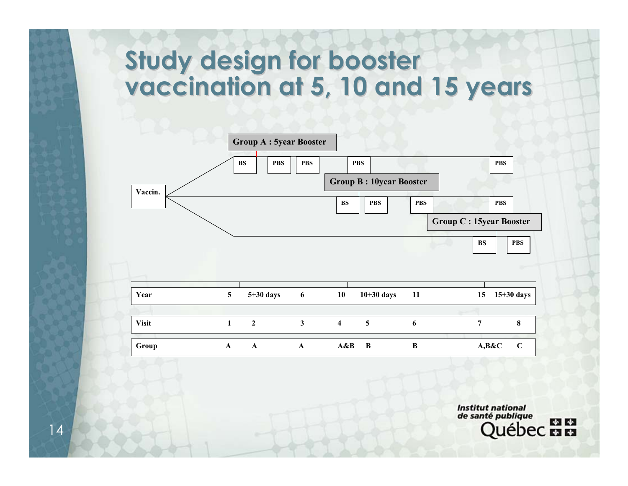#### **Study design for booster** vaccination at 5, 10 and 15 years

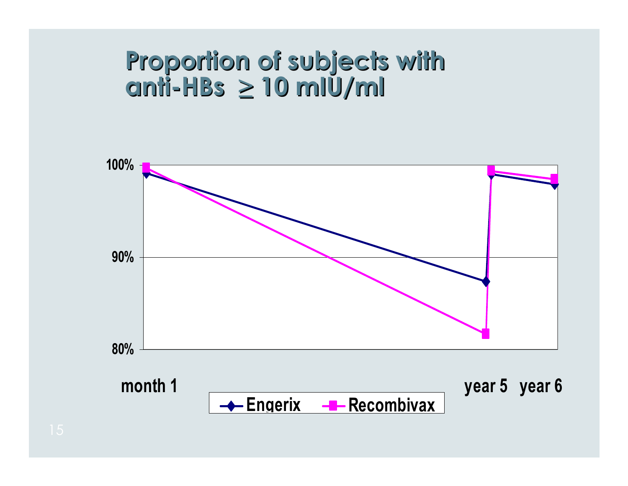## Proportion of subjects with **anti-HBs ≥ 10 mIU/ml**

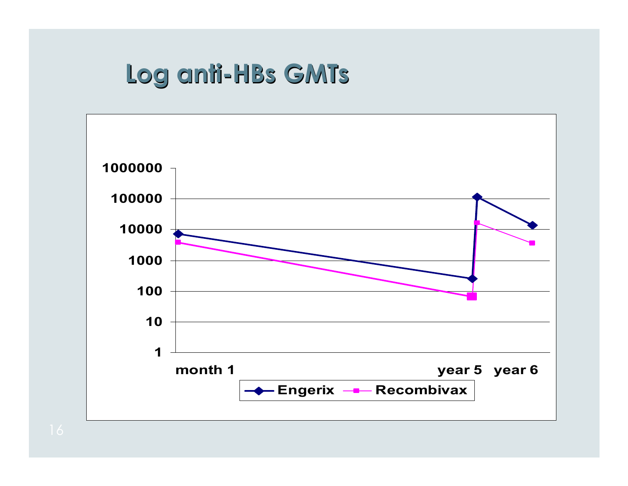## **Log anti Log anti-HBs GMTs**

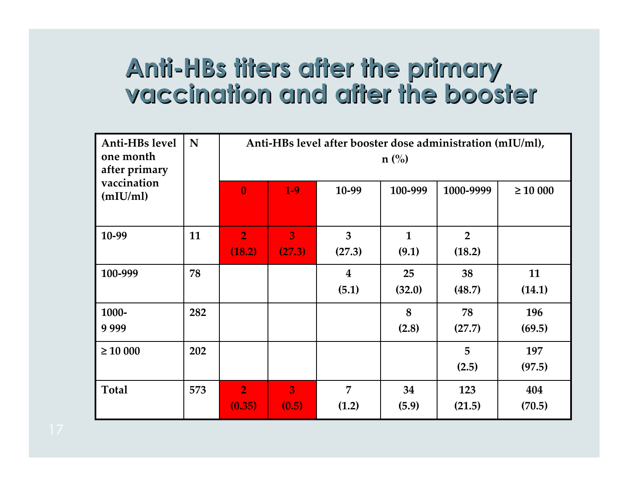## Anti-HBs titers after the primary **vaccination vaccination and after the after the booster booster**

| Anti-HBs level<br>one month<br>after primary | N   | Anti-HBs level after booster dose administration (mIU/ml),<br>$n\ (\%)$ |                          |                           |                       |                          |               |
|----------------------------------------------|-----|-------------------------------------------------------------------------|--------------------------|---------------------------|-----------------------|--------------------------|---------------|
| vaccination<br>(mIU/ml)                      |     | $\bf{0}$                                                                | $1-9$                    | 10-99                     | 100-999               | 1000-9999                | $\geq 10000$  |
| 10-99                                        | 11  | $\overline{2}$<br>(18.2)                                                | $\overline{3}$<br>(27.3) | 3<br>(27.3)               | $\mathbf{1}$<br>(9.1) | $\overline{2}$<br>(18.2) |               |
| 100-999                                      | 78  |                                                                         |                          | $\boldsymbol{4}$<br>(5.1) | 25<br>(32.0)          | 38<br>(48.7)             | 11<br>(14.1)  |
| 1000-<br>9999                                | 282 |                                                                         |                          |                           | 8<br>(2.8)            | 78<br>(27.7)             | 196<br>(69.5) |
| $\geq 10000$                                 | 202 |                                                                         |                          |                           |                       | 5<br>(2.5)               | 197<br>(97.5) |
| <b>Total</b>                                 | 573 | $\overline{2}$<br>(0.35)                                                | 3<br>(0.5)               | 7<br>(1.2)                | 34<br>(5.9)           | 123<br>(21.5)            | 404<br>(70.5) |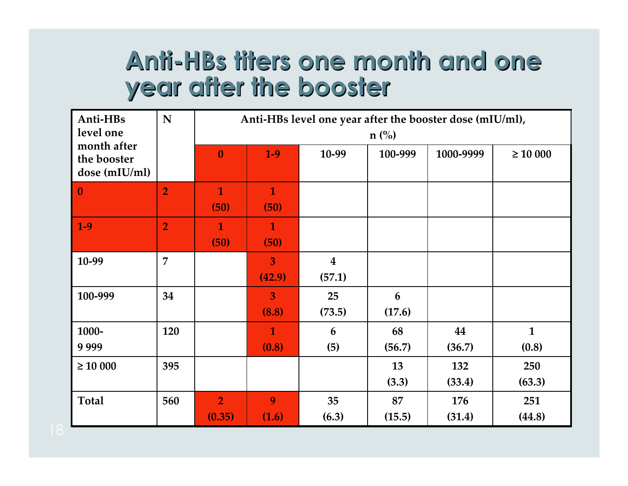## **Anti-HBs titers HBs titers one month and month and one year after the year after the booster booster**

| Anti-HBs                                    | N              | Anti-HBs level one year after the booster dose (mIU/ml), |                          |                                   |              |               |                       |
|---------------------------------------------|----------------|----------------------------------------------------------|--------------------------|-----------------------------------|--------------|---------------|-----------------------|
| level one                                   |                | $n$ (%)                                                  |                          |                                   |              |               |                       |
| month after<br>the booster<br>dose (mIU/ml) |                | $\bf{0}$                                                 | $1-9$                    | 10-99                             | 100-999      | 1000-9999     | $\geq 10000$          |
| $\bf{0}$                                    | $\overline{2}$ | $\mathbf{1}$<br>(50)                                     | $\mathbf{1}$<br>(50)     |                                   |              |               |                       |
| $1-9$                                       | $\overline{2}$ | $\mathbf{1}$<br>(50)                                     | $\mathbf 1$<br>(50)      |                                   |              |               |                       |
| 10-99                                       | $\overline{7}$ |                                                          | $\overline{3}$<br>(42.9) | $\overline{\mathbf{4}}$<br>(57.1) |              |               |                       |
| 100-999                                     | 34             |                                                          | $\overline{3}$<br>(8.8)  | 25<br>(73.5)                      | 6<br>(17.6)  |               |                       |
| 1000-<br>9999                               | 120            |                                                          | $\mathbf{1}$<br>(0.8)    | 6<br>(5)                          | 68<br>(56.7) | 44<br>(36.7)  | $\mathbf{1}$<br>(0.8) |
| $\geq 10000$                                | 395            |                                                          |                          |                                   | 13<br>(3.3)  | 132<br>(33.4) | 250<br>(63.3)         |
| <b>Total</b>                                | 560            | $\overline{2}$<br>(0.35)                                 | 9<br>(1.6)               | 35<br>(6.3)                       | 87<br>(15.5) | 176<br>(31.4) | 251<br>(44.8)         |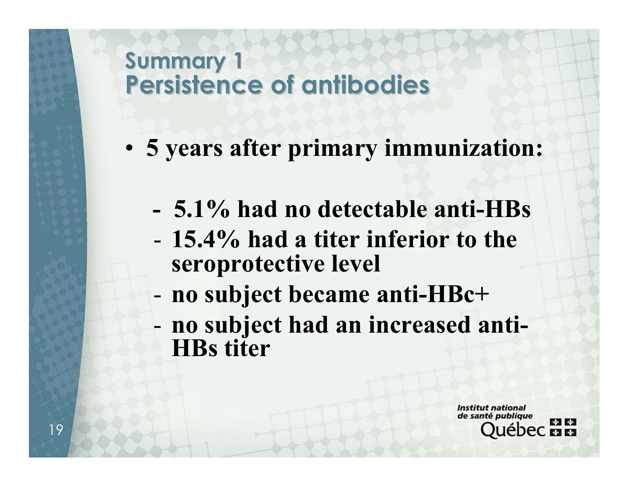#### **Summary Summary 1 Persistence Persistence of antibodies antibodies**

- **5 years after primary immunization:**
	- **- 5.1% had no detectable anti-HBs**
	- **15.4% had a titer inferior to the seroprotective level**
	- **no subject became anti-HBc+**
	- **no subject had an increased anti-HBs titer**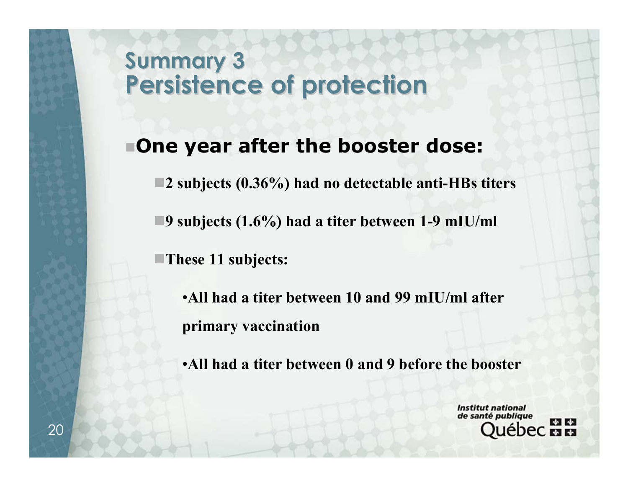#### **Summary Summary 3 Persistence Persistence of protection of protection**

#### **One year after the booster dose:**

**2 subjects (0.36%) had no detectable anti-HBs titers**

**9 subjects (1.6%) had a titer between 1-9 mIU/ml**

**These 11 subjects:**

•**All had a titer between 10 and 99 mIU/ml after primary vaccination**

•**All had a titer between 0 and 9 before the booster**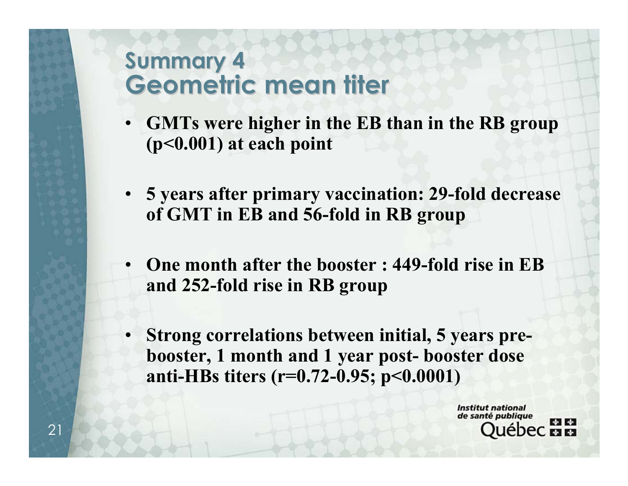#### **Summary Summary 4 Geometric mean titer Geometric mean titer**

- **GMTs were higher in the EB than in the RB group (p<0.001) at each point**
- **5 years after primary vaccination: 29-fold decrease of GMT in EB and 56-fold in RB group**
- **One month after the booster : 449-fold rise in EB and 252-fold rise in RB group**
- **Strong correlations between initial, 5 years prebooster, 1 month and 1 year post- booster dose anti-HBs titers (r=0.72-0.95; p<0.0001)**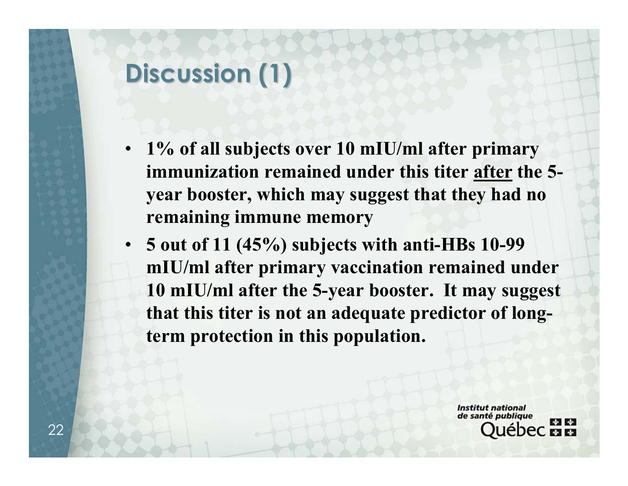## **Discussion Discussion (1)**

- **1% of all subjects over 10 mIU/ml after primary immunization remained under this titer after the 5 year booster, which may suggest that they had no remaining immune memory**
- **5 out of 11 (45%) subjects with anti-HBs 10-99 mIU/ml after primary vaccination remained under 10 mIU/ml after the 5-year booster. It may suggest that this titer is not an adequate predictor of longterm protection in this population.**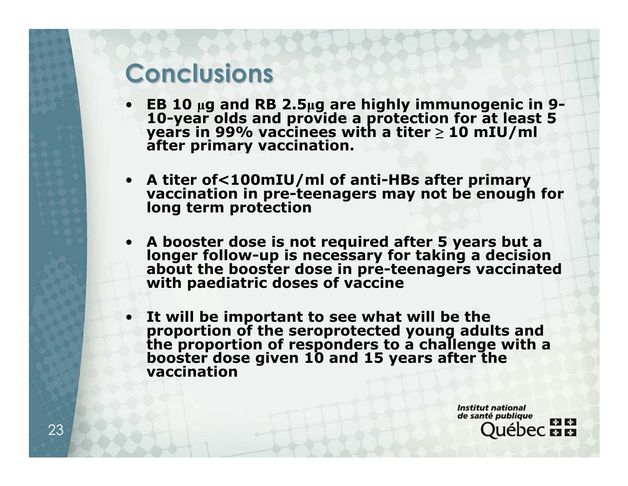## **Conclusions Conclusions**

- **EB 10 µ<sup>g</sup> and RB 2.5µ<sup>g</sup> are highly immunogenic in 9- 10-year olds and provide a protection for at least 5 years in 99% vaccinees with a titer <sup>≥</sup> 10 mIU/ml after primary vaccination.**
- **A titer of<100mIU/ml of anti-HBs after primary vaccination in pre-teenagers may not be enough for long term protection**
- **A booster dose is not required after 5 years but a longer follow-up is necessary for taking a decision about thebooster dose in pre-teenagers vaccinated with paediatric doses of vaccine**
- **It will be**It will be important to see what will be the<br>proportion of the seroprotected young adults and<br>the proportion of responders to a challenge with a **proportion of responders to a challenge with <sup>a</sup> booster dosegiven <sup>10</sup> and <sup>15</sup> years after the vaccination**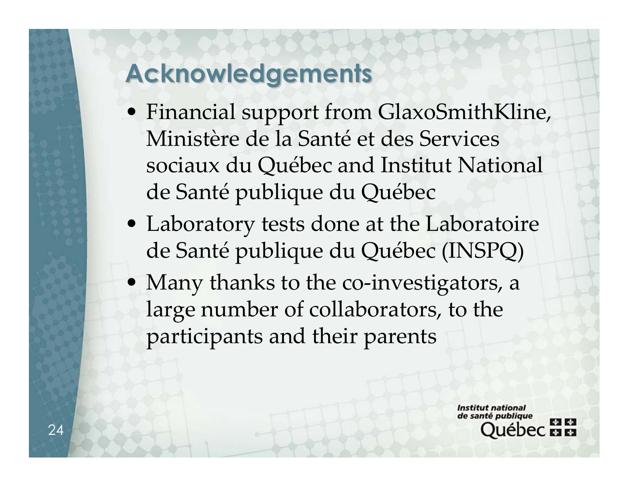## **Acknowledgements Acknowledgements**

- Financial support from GlaxoSmithKline, Ministère de la Santé et des Services sociaux du Québec and Institut National de Santé publique du Québec
- Laboratory tests done at the Laboratoire de Santé publique du Québec (INSPQ)
- Many thanks to the co-investigators, a large number of collaborators, to the participants and their parents